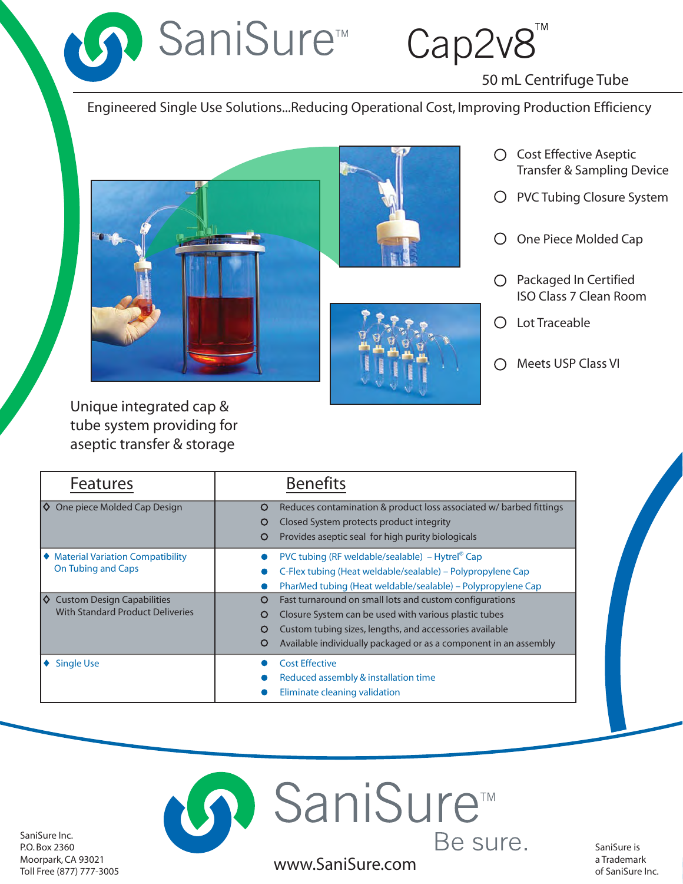Cap2v8

50 mL Centrifuge Tube

Engineered Single Use Solutions...Reducing Operational Cost, Improving Production Efficiency



D SaniSure™





- Cost Effective Aseptic Transfer & Sampling Device
- O PVC Tubing Closure System
- O One Piece Molded Cap
- $O$  Packaged In Certified ISO Class 7 Clean Room
- Lot Traceable
- Meets USP Class VI

Unique integrated cap & tube system providing for aseptic transfer & storage

| <b>Features</b>                                                                    | <b>Benefits</b>                                                                                                                                                                                                                                                     |
|------------------------------------------------------------------------------------|---------------------------------------------------------------------------------------------------------------------------------------------------------------------------------------------------------------------------------------------------------------------|
| One piece Molded Cap Design<br>IO.                                                 | Reduces contamination & product loss associated w/ barbed fittings<br>O<br>Closed System protects product integrity<br>O<br>Provides aseptic seal for high purity biologicals<br>O                                                                                  |
| ♦ Material Variation Compatibility<br><b>On Tubing and Caps</b>                    | PVC tubing (RF weldable/sealable) – Hytrel® Cap<br>C-Flex tubing (Heat weldable/sealable) - Polypropylene Cap<br>PharMed tubing (Heat weldable/sealable) – Polypropylene Cap                                                                                        |
| <b>Custom Design Capabilities</b><br>Ι⇔<br><b>With Standard Product Deliveries</b> | Fast turnaround on small lots and custom configurations<br>O<br>Closure System can be used with various plastic tubes<br>O<br>Custom tubing sizes, lengths, and accessories available<br>O<br>Available individually packaged or as a component in an assembly<br>O |
| <b>Single Use</b>                                                                  | <b>Cost Effective</b><br>Reduced assembly & installation time<br>Eliminate cleaning validation                                                                                                                                                                      |



SaniSure Inc. P.O. Box 2360 Moorpark, CA 93021 Toll Free (877) 777-3005

SaniSure is